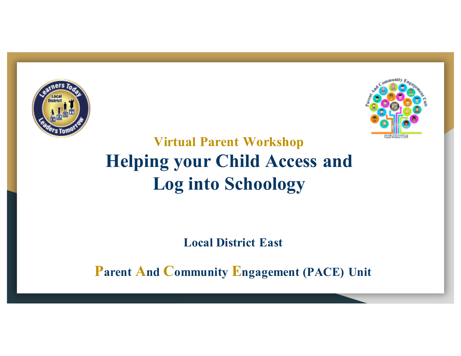



### **Virtual Parent Workshop Helping your Child Access and Log into Schoology**

**Local District East** 

**Parent And Community Engagement (PACE) Unit**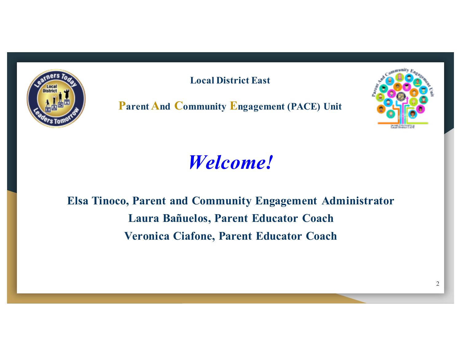

**Local District East** 

**Parent And Community Engagement (PACE) Unit**



*Welcome!* 

**Elsa Tinoco, Parent and Community Engagement Administrator Laura Bañuelos, Parent Educator Coach Veronica Ciafone, Parent Educator Coach**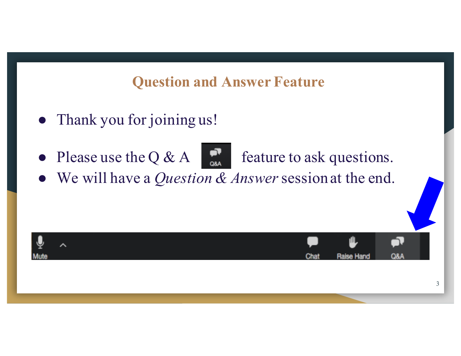### **Question and Answer Feature**

- Thank you for joining us!
- Please use the Q & A  $\begin{array}{|c|c|c|c|c|c|} \hline \text{•} & \text{feature to ask questions.} \hline \end{array}$

● We will have a *Question & Answer* session at the end.

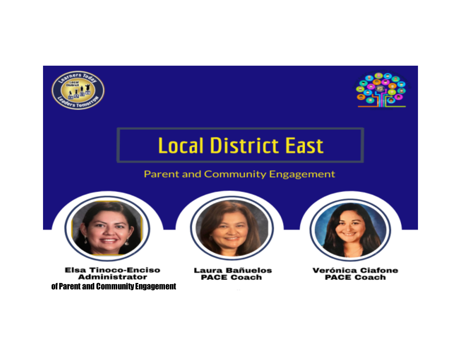



## **Local District East**

### **Parent and Community Engagement**



**Elsa Tinoco-Enciso Administrator** of Parent and Community Engagement



**Laura Bañuelos PACE Coach** 



**Verónica Ciafone PACE Coach**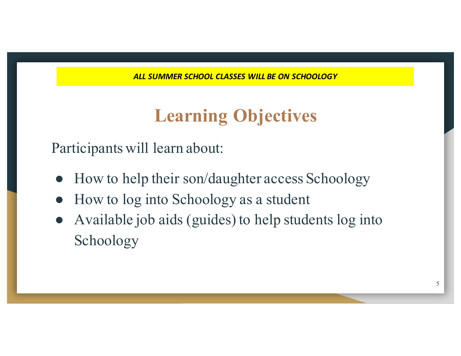## **Learning Objectives**

Participants will learn about:

- How to help their son/daughter access Schoology
- How to log into Schoology as a student
- Available job aids (guides) to help students log into Schoology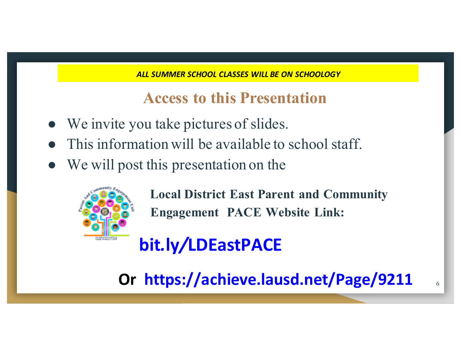*ALL SUMMER SCHOOL CLASSES WILL BE ON SCHOOLOGY*

**Access to this Presentation**

- We invite you take pictures of slides.
- This information will be available to school staff.
- We will post this presentation on the



**Local District East Parent and Community Engagement PACE Website Link:** 

## **bit***.***ly***/***LDEastPACE**

Or https://achieve.lausd.net/Page/9211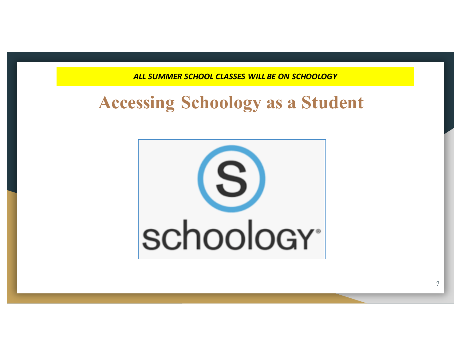### **Accessing Schoology as a Student**

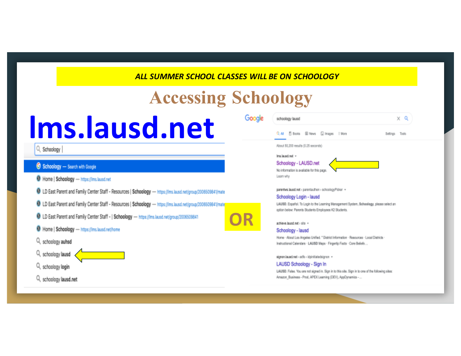## **Accessing Schoology**

# Ims.lausd.net

### Q Schoology

### Schoology - Search with Google

- Home | Schoology https://ins.lausd.net
- 8 LD East Parent and Family Center Staff Resources | Schoology https://ins.lausd.net/group/2006509841/mate
- 8 LD East Parent and Family Center Staff Resources | Schoology https://ins.lausd.net/group/2006609841/mate
- 8 LD East Parent and Family Center Staff | Schoology https://ms.lausd.net/group/2006509841
- Home | Schoology https://ins.lausd.net/home
- Q schoology auhsd
- Q schoology lausd
- Q schoology login
- Q schoology lausd.net

| Google | X<br>schoology lausd                                                                                                                                              |  |
|--------|-------------------------------------------------------------------------------------------------------------------------------------------------------------------|--|
|        | 四 Books 图 News 日 Images : More<br>QM.<br>Settings<br>Topis                                                                                                        |  |
|        | About 50,200 results (0.25 seconds)                                                                                                                               |  |
|        | Ins.lausd.nit v                                                                                                                                                   |  |
|        | Schoology - LAUSD.net                                                                                                                                             |  |
|        | No information is available for this page.<br>Learn why                                                                                                           |  |
|        | parentws.lausd.net / parentauthen / schoologyPloker =                                                                                                             |  |
|        | Schoology Login - lausd                                                                                                                                           |  |
|        | LAUSD. Español. To Login to the Learning Management System, Schoology, piezae select an<br>aption below: Parents Students Employees #2 Students.                  |  |
|        | achieve lausd net i site v                                                                                                                                        |  |
|        | Schoology - lausd                                                                                                                                                 |  |
|        | Home - About Las Angeles Unified. * District Information - Resources - Local Districts -<br>Instructional Calendars . LAUSD Maps . Fingertip Facts . Core Beliefs |  |
|        | signan.lausd.net > adfs + idpinitiatedsignon +                                                                                                                    |  |
|        | LAUSD Schoology - Sign In                                                                                                                                         |  |
|        | LAUSD. False. You are not signed in. Sign in to this site. Sign in to one of the following sites:                                                                 |  |

Amazon\_Business - Prod, APEX Learning (DEV), AppDynamics - ..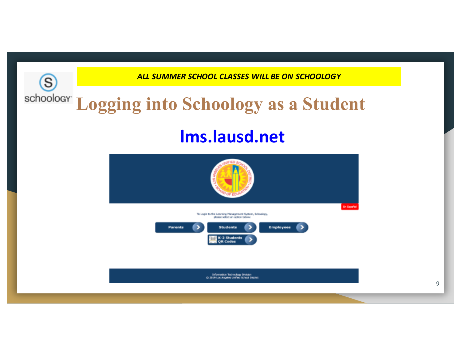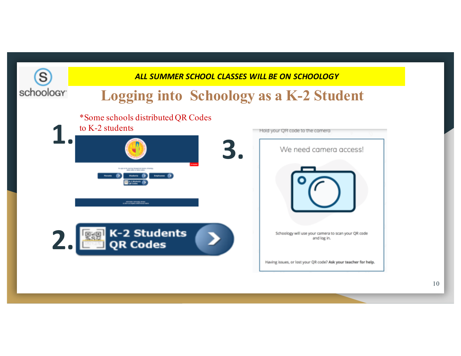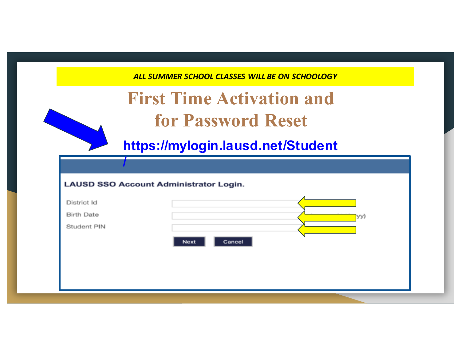## **First Time Activation and for Password Reset**

**https://mylogin.lausd.net/Student**

| District Id       |      |        |     |  |
|-------------------|------|--------|-----|--|
| <b>Birth Date</b> |      |        | yy) |  |
| Student PIN       |      |        |     |  |
|                   | Next | Cancel |     |  |
|                   |      |        |     |  |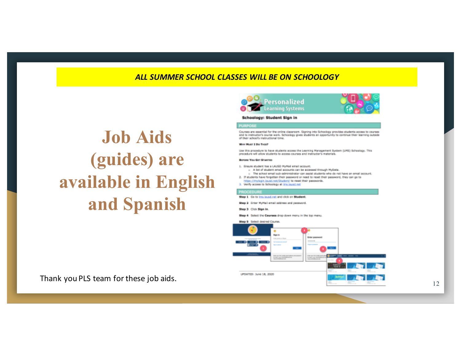



#### Schoology: Student Sign in

Courses are essential for the online classroom. Signing into Schoology provides students access to courses and ta instructor's course work. Schoology gives students an opportunity to continue their learning outside of their school's instructional time.

#### Wey Must I Do Tres?

Use this procedure to have students access the Learning Management System (LPIS) Schoology. This precedure will allow students to access courses and instructor's materials.

#### **BIFORE YOU GET STANTED**

- 1. Ensure student has a LAUSD MyMail email account.
- A list of student email accounts can be accessed through MyData.
- o The school email sub-administrator can assist students who do not have an email account. 2. If students have forgotten their password or need to reset their password, they can go to
- https://mylogin.lausd.net/Student/ to reset their passwords.
- 3. Verify access to Schoology at Irreleved.net

#### Step 1 Go to implausdingt and click on Student.

Step 2 Enter MyMail email address and password.

- Step 3 Click Sign In.
- Step 4 Select the Courses drop down menu in the top menu.

Step 5 Select desired Course.



Thank you PLS team for these job aids.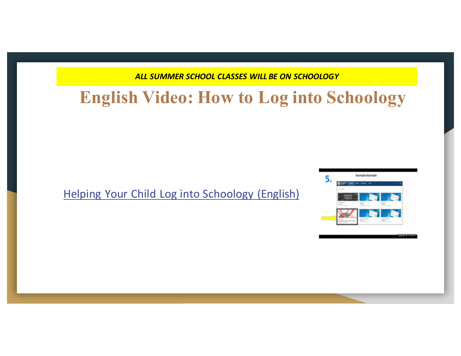### **English Video: How to Log into Schoology**

### Helping Your Child Log into Schoology (English)

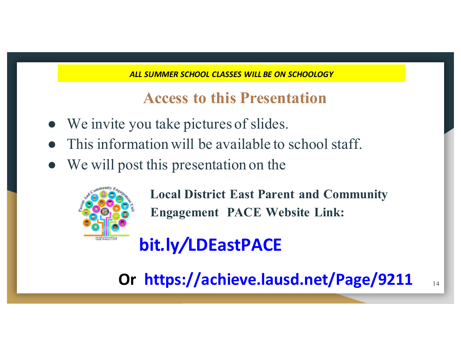**Access to this Presentation**

- We invite you take pictures of slides.
- This information will be available to school staff.
- We will post this presentation on the



**Local District East Parent and Community Engagement PACE Website Link:** 

## **bit***.***ly***/***LDEastPACE**

**Or https://achieve.lausd.net/Page/9211**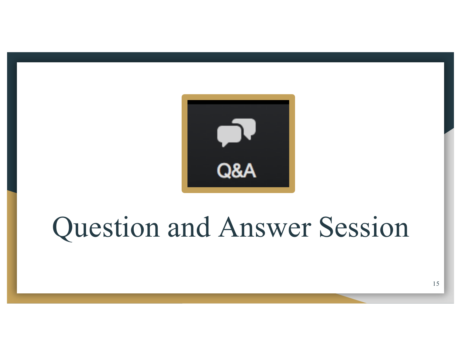

# Question and Answer Session